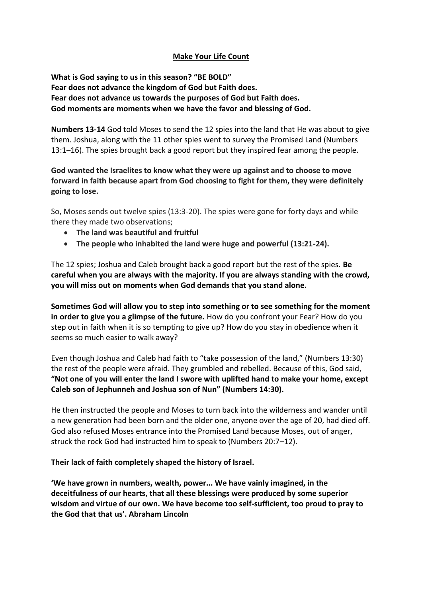### **Make Your Life Count**

**What is God saying to us in this season? "BE BOLD" Fear does not advance the kingdom of God but Faith does. Fear does not advance us towards the purposes of God but Faith does. God moments are moments when we have the favor and blessing of God.** 

**Numbers 13-14** God told Moses to send the 12 spies into the land that He was about to give them. Joshua, along with the 11 other spies went to survey the Promised Land (Numbers 13:1–16). The spies brought back a good report but they inspired fear among the people.

**God wanted the Israelites to know what they were up against and to choose to move forward in faith because apart from God choosing to fight for them, they were definitely going to lose.**

So, Moses sends out twelve spies (13:3-20). The spies were gone for forty days and while there they made two observations;

- **The land was beautiful and fruitful**
- **The people who inhabited the land were huge and powerful (13:21-24).**

The 12 spies; Joshua and Caleb brought back a good report but the rest of the spies. **Be careful when you are always with the majority. If you are always standing with the crowd, you will miss out on moments when God demands that you stand alone.**

**Sometimes God will allow you to step into something or to see something for the moment in order to give you a glimpse of the future.** How do you confront your Fear? How do you step out in faith when it is so tempting to give up? How do you stay in obedience when it seems so much easier to walk away?

Even though Joshua and Caleb had faith to "take possession of the land," (Numbers 13:30) the rest of the people were afraid. They grumbled and rebelled. Because of this, God said, **"Not one of you will enter the land I swore with uplifted hand to make your home, except Caleb son of Jephunneh and Joshua son of Nun" (Numbers 14:30).** 

He then instructed the people and Moses to turn back into the wilderness and wander until a new generation had been born and the older one, anyone over the age of 20, had died off. God also refused Moses entrance into the Promised Land because Moses, out of anger, struck the rock God had instructed him to speak to (Numbers 20:7–12).

**Their lack of faith completely shaped the history of Israel.**

**'We have grown in numbers, wealth, power... We have vainly imagined, in the deceitfulness of our hearts, that all these blessings were produced by some superior wisdom and virtue of our own. We have become too self-sufficient, too proud to pray to the God that that us'. Abraham Lincoln**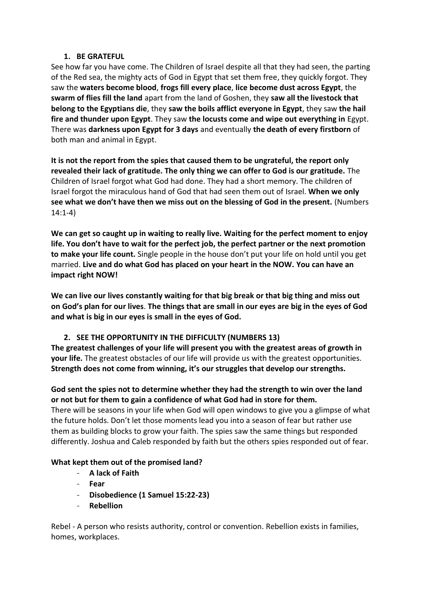### **1. BE GRATEFUL**

See how far you have come. The Children of Israel despite all that they had seen, the parting of the Red sea, the mighty acts of God in Egypt that set them free, they quickly forgot. They saw the **waters become blood**, **frogs fill every place**, **lice become dust across Egypt**, the **swarm of flies fill the land** apart from the land of Goshen, they **saw all the livestock that belong to the Egyptians die**, they **saw the boils afflict everyone in Egypt**, they saw **the hail fire and thunder upon Egypt**. They saw **the locusts come and wipe out everything in** Egypt. There was **darkness upon Egypt for 3 days** and eventually **the death of every firstborn** of both man and animal in Egypt.

**It is not the report from the spies that caused them to be ungrateful, the report only revealed their lack of gratitude. The only thing we can offer to God is our gratitude.** The Children of Israel forgot what God had done. They had a short memory. The children of Israel forgot the miraculous hand of God that had seen them out of Israel. **When we only see what we don't have then we miss out on the blessing of God in the present.** (Numbers 14:1-4)

**We can get so caught up in waiting to really live. Waiting for the perfect moment to enjoy life. You don't have to wait for the perfect job, the perfect partner or the next promotion to make your life count.** Single people in the house don't put your life on hold until you get married. **Live and do what God has placed on your heart in the NOW. You can have an impact right NOW!**

**We can live our lives constantly waiting for that big break or that big thing and miss out on God's plan for our lives**. **The things that are small in our eyes are big in the eyes of God and what is big in our eyes is small in the eyes of God.**

# **2. SEE THE OPPORTUNITY IN THE DIFFICULTY (NUMBERS 13)**

**The greatest challenges of your life will present you with the greatest areas of growth in your life.** The greatest obstacles of our life will provide us with the greatest opportunities. **Strength does not come from winning, it's our struggles that develop our strengths.**

# **God sent the spies not to determine whether they had the strength to win over the land or not but for them to gain a confidence of what God had in store for them.**

There will be seasons in your life when God will open windows to give you a glimpse of what the future holds. Don't let those moments lead you into a season of fear but rather use them as building blocks to grow your faith. The spies saw the same things but responded differently. Joshua and Caleb responded by faith but the others spies responded out of fear.

### **What kept them out of the promised land?**

- **A lack of Faith**
- **Fear**
- **Disobedience (1 Samuel 15:22-23)**
- **Rebellion**

Rebel - A person who resists authority, control or convention. Rebellion exists in families, homes, workplaces.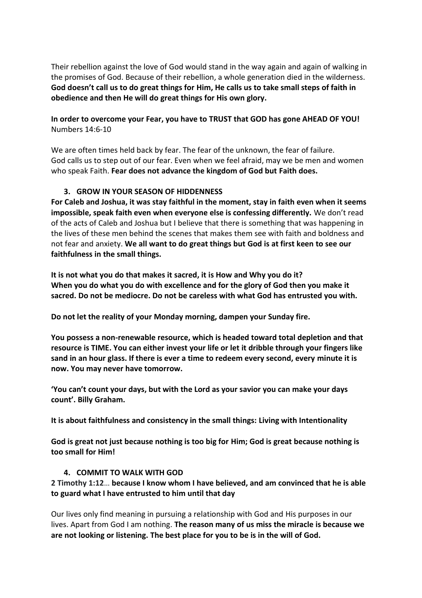Their rebellion against the love of God would stand in the way again and again of walking in the promises of God. Because of their rebellion, a whole generation died in the wilderness. **God doesn't call us to do great things for Him, He calls us to take small steps of faith in obedience and then He will do great things for His own glory.** 

### **In order to overcome your Fear, you have to TRUST that GOD has gone AHEAD OF YOU!** Numbers 14:6-10

We are often times held back by fear. The fear of the unknown, the fear of failure. God calls us to step out of our fear. Even when we feel afraid, may we be men and women who speak Faith. **Fear does not advance the kingdom of God but Faith does.**

### **3. GROW IN YOUR SEASON OF HIDDENNESS**

**For Caleb and Joshua, it was stay faithful in the moment, stay in faith even when it seems impossible, speak faith even when everyone else is confessing differently.** We don't read of the acts of Caleb and Joshua but I believe that there is something that was happening in the lives of these men behind the scenes that makes them see with faith and boldness and not fear and anxiety. **We all want to do great things but God is at first keen to see our faithfulness in the small things.**

**It is not what you do that makes it sacred, it is How and Why you do it? When you do what you do with excellence and for the glory of God then you make it sacred. Do not be mediocre. Do not be careless with what God has entrusted you with.**

**Do not let the reality of your Monday morning, dampen your Sunday fire.** 

**You possess a non-renewable resource, which is headed toward total depletion and that resource is TIME. You can either invest your life or let it dribble through your fingers like sand in an hour glass. If there is ever a time to redeem every second, every minute it is now. You may never have tomorrow.** 

**'You can't count your days, but with the Lord as your savior you can make your days count'. Billy Graham.**

**It is about faithfulness and consistency in the small things: Living with Intentionality**

**God is great not just because nothing is too big for Him; God is great because nothing is too small for Him!**

#### **4. COMMIT TO WALK WITH GOD**

**2 Timothy 1:12**… **because I know whom I have believed, and am convinced that he is able to guard what I have entrusted to him until that day**

Our lives only find meaning in pursuing a relationship with God and His purposes in our lives. Apart from God I am nothing. **The reason many of us miss the miracle is because we are not looking or listening. The best place for you to be is in the will of God.**